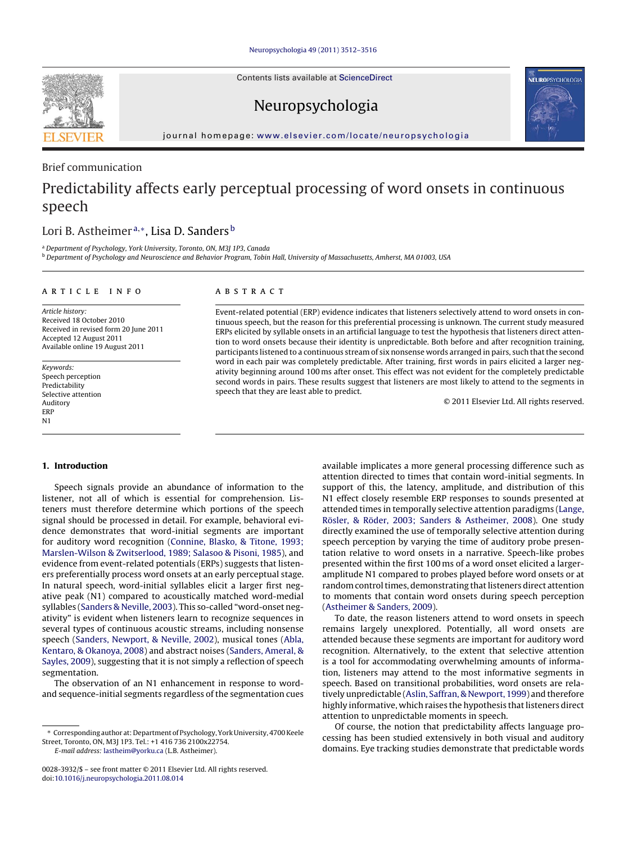Contents lists available at [ScienceDirect](http://www.sciencedirect.com/science/journal/00283932)



# Neuropsychologia



journal homepage: [www.elsevier.com/locate/neuropsychologia](http://www.elsevier.com/locate/neuropsychologia)

# Brief communication

# Predictability affects early perceptual processing of word onsets in continuous speech

# Lori B. Astheimer<sup>a,∗</sup>, Lisa D. Sanders<sup>b</sup>

<sup>a</sup> Department of Psychology, York University, Toronto, ON, M3J 1P3, Canada

<sup>b</sup> Department of Psychology and Neuroscience and Behavior Program, Tobin Hall, University of Massachusetts, Amherst, MA 01003, USA

# article info

Article history: Received 18 October 2010 Received in revised form 20 June 2011 Accepted 12 August 2011 Available online 19 August 2011

Keywords: Speech perception Predictability Selective attention Auditory ERP N1

# ABSTRACT

Event-related potential (ERP) evidence indicates that listeners selectively attend to word onsets in continuous speech, but the reason for this preferential processing is unknown. The current study measured ERPs elicited by syllable onsets in an artificial language to test the hypothesis that listeners direct attention to word onsets because their identity is unpredictable. Both before and after recognition training, participants listened to a continuous stream of six nonsense words arranged in pairs, such that the second word in each pair was completely predictable. After training, first words in pairs elicited a larger negativity beginning around 100 ms after onset. This effect was not evident for the completely predictable second words in pairs. These results suggest that listeners are most likely to attend to the segments in speech that they are least able to predict.

© 2011 Elsevier Ltd. All rights reserved.

## **1. Introduction**

Speech signals provide an abundance of information to the listener, not all of which is essential for comprehension. Listeners must therefore determine which portions of the speech signal should be processed in detail. For example, behavioral evidence demonstrates that word-initial segments are important for auditory word recognition ([Connine, Blasko, & Titone, 1993;](#page-4-0) [Marslen-Wilson & Zwitserlood, 1989; Salasoo & Pisoni, 1985\),](#page-4-0) and evidence from event-related potentials (ERPs) suggests that listeners preferentially process word onsets at an early perceptual stage. In natural speech, word-initial syllables elicit a larger first negative peak (N1) compared to acoustically matched word-medial syllables [\(Sanders & Neville, 2003\).](#page-4-0) This so-called "word-onset negativity" is evident when listeners learn to recognize sequences in several types of continuous acoustic streams, including nonsense speech [\(Sanders, Newport, & Neville, 2002\),](#page-4-0) musical tones [\(Abla,](#page-4-0) [Kentaro, & Okanoya, 2008\) a](#page-4-0)nd abstract noises [\(Sanders, Ameral, &](#page-4-0) [Sayles, 2009\),](#page-4-0) suggesting that it is not simply a reflection of speech segmentation.

The observation of an N1 enhancement in response to wordand sequence-initial segments regardless of the segmentation cues

E-mail address: [lastheim@yorku.ca](mailto:lastheim@yorku.ca) (L.B. Astheimer).

available implicates a more general processing difference such as attention directed to times that contain word-initial segments. In support of this, the latency, amplitude, and distribution of this N1 effect closely resemble ERP responses to sounds presented at attended times in temporally selective attention paradigms ([Lange,](#page-4-0) [Rösler, & Röder, 2003; Sanders & Astheimer, 2008\).](#page-4-0) One study directly examined the use of temporally selective attention during speech perception by varying the time of auditory probe presentation relative to word onsets in a narrative. Speech-like probes presented within the first 100 ms of a word onset elicited a largeramplitude N1 compared to probes played before word onsets or at random control times, demonstrating that listeners direct attention to moments that contain word onsets during speech perception [\(Astheimer & Sanders, 2009\).](#page-4-0)

To date, the reason listeners attend to word onsets in speech remains largely unexplored. Potentially, all word onsets are attended because these segments are important for auditory word recognition. Alternatively, to the extent that selective attention is a tool for accommodating overwhelming amounts of information, listeners may attend to the most informative segments in speech. Based on transitional probabilities, word onsets are relatively unpredictable ([Aslin, Saffran, & Newport, 1999\) a](#page-4-0)nd therefore highly informative, which raises the hypothesis that listeners direct attention to unpredictable moments in speech.

Of course, the notion that predictability affects language processing has been studied extensively in both visual and auditory domains. Eye tracking studies demonstrate that predictable words

<sup>∗</sup> Corresponding author at: Department of Psychology, York University, 4700 Keele Street, Toronto, ON, M3J 1P3. Tel.: +1 416 736 2100x22754.

<sup>0028-3932/\$ –</sup> see front matter © 2011 Elsevier Ltd. All rights reserved. doi:[10.1016/j.neuropsychologia.2011.08.014](dx.doi.org/10.1016/j.neuropsychologia.2011.08.014)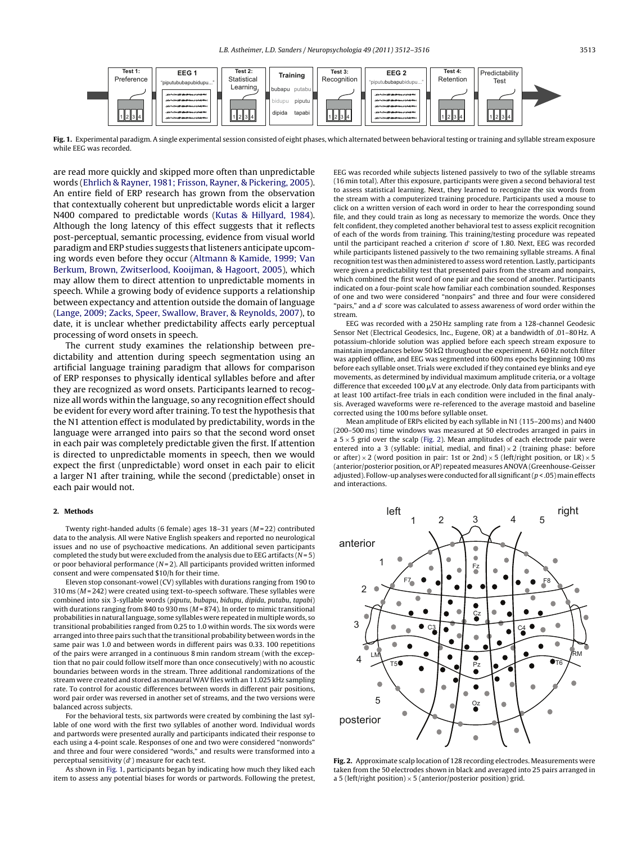

**Fig. 1.** Experimental paradigm. A single experimental session consisted of eight phases, which alternated between behavioral testing or training and syllable stream exposure while EEG was recorded.

are read more quickly and skipped more often than unpredictable words [\(Ehrlich & Rayner, 1981; Frisson, Rayner, & Pickering, 2005\).](#page-4-0) An entire field of ERP research has grown from the observation that contextually coherent but unpredictable words elicit a larger N400 compared to predictable words ([Kutas & Hillyard, 1984\).](#page-4-0) Although the long latency of this effect suggests that it reflects post-perceptual, semantic processing, evidence from visual world paradigm and ERP studies suggests that listeners anticipate upcoming words even before they occur [\(Altmann & Kamide, 1999; Van](#page-4-0) [Berkum, Brown, Zwitserlood, Kooijman, & Hagoort, 2005\),](#page-4-0) which may allow them to direct attention to unpredictable moments in speech. While a growing body of evidence supports a relationship between expectancy and attention outside the domain of language ([Lange, 2009; Zacks, Speer, Swallow, Braver, & Reynolds, 2007\),](#page-4-0) to date, it is unclear whether predictability affects early perceptual processing of word onsets in speech.

The current study examines the relationship between predictability and attention during speech segmentation using an artificial language training paradigm that allows for comparison of ERP responses to physically identical syllables before and after they are recognized as word onsets. Participants learned to recognize all words within the language, so any recognition effect should be evident for every word after training. To test the hypothesis that the N1 attention effect is modulated by predictability, words in the language were arranged into pairs so that the second word onset in each pair was completely predictable given the first. If attention is directed to unpredictable moments in speech, then we would expect the first (unpredictable) word onset in each pair to elicit a larger N1 after training, while the second (predictable) onset in each pair would not.

#### **2. Methods**

Twenty right-handed adults (6 female) ages  $18-31$  years ( $M = 22$ ) contributed data to the analysis. All were Native English speakers and reported no neurological issues and no use of psychoactive medications. An additional seven participants completed the study but were excluded from the analysis due to EEG artifacts ( $N = 5$ ) or poor behavioral performance  $(N=2)$ . All participants provided written informed consent and were compensated \$10/h for their time.

Eleven stop consonant-vowel (CV) syllables with durations ranging from 190 to  $310 \text{ ms}$  ( $M = 242$ ) were created using text-to-speech software. These syllables were combined into six 3-syllable words (piputu, bubapu, bidupu, dipida, putabu, tapabi) with durations ranging from 840 to 930 ms ( $M = 874$ ). In order to mimic transitional probabilities in natural language, some syllables were repeated in multiple words, so transitional probabilities ranged from 0.25 to 1.0 within words. The six words were arranged into three pairs such that the transitional probability between words in the same pair was 1.0 and between words in different pairs was 0.33. 100 repetitions of the pairs were arranged in a continuous 8 min random stream (with the exception that no pair could follow itself more than once consecutively) with no acoustic boundaries between words in the stream. Three additional randomizations of the stream were created and stored as monaural WAV files with an 11.025 kHz sampling rate. To control for acoustic differences between words in different pair positions, word pair order was reversed in another set of streams, and the two versions were balanced across subjects.

For the behavioral tests, six partwords were created by combining the last syllable of one word with the first two syllables of another word. Individual words and partwords were presented aurally and participants indicated their response to each using a 4-point scale. Responses of one and two were considered "nonwords" and three and four were considered "words," and results were transformed into a perceptual sensitivity (d ) measure for each test.

As shown in Fig. 1, participants began by indicating how much they liked each item to assess any potential biases for words or partwords. Following the pretest, EEG was recorded while subjects listened passively to two of the syllable streams (16 min total). After this exposure, participants were given a second behavioral test to assess statistical learning. Next, they learned to recognize the six words from the stream with a computerized training procedure. Participants used a mouse to click on a written version of each word in order to hear the corresponding sound file, and they could train as long as necessary to memorize the words. Once they felt confident, they completed another behavioral test to assess explicit recognition of each of the words from training. This training/testing procedure was repeated until the participant reached a criterion  $d'$  score of 1.80. Next, EEG was recorded while participants listened passively to the two remaining syllable streams. A final recognition test was then administered to assess word retention. Lastly, participants were given a predictability test that presented pairs from the stream and nonpairs, which combined the first word of one pair and the second of another. Participants indicated on a four-point scale how familiar each combination sounded. Responses of one and two were considered "nonpairs" and three and four were considered "pairs," and a  $d'$  score was calculated to assess awareness of word order within the stream.

EEG was recorded with a 250 Hz sampling rate from a 128-channel Geodesic Sensor Net (Electrical Geodesics, Inc., Eugene, OR) at a bandwidth of .01–80 Hz. A potassium-chloride solution was applied before each speech stream exposure to maintain impedances below 50 k $\Omega$  throughout the experiment. A 60 Hz notch filter was applied offline, and EEG was segmented into 600 ms epochs beginning 100 ms before each syllable onset. Trials were excluded if they contained eye blinks and eye movements, as determined by individual maximum amplitude criteria, or a voltage difference that exceeded 100  $\mu$ V at any electrode. Only data from participants with at least 100 artifact-free trials in each condition were included in the final analysis. Averaged waveforms were re-referenced to the average mastoid and baseline corrected using the 100 ms before syllable onset.

Mean amplitude of ERPs elicited by each syllable in N1 (115–200 ms) and N400 (200–500 ms) time windows was measured at 50 electrodes arranged in pairs in a  $5 \times 5$  grid over the scalp (Fig. 2). Mean amplitudes of each electrode pair were entered into a 3 (syllable: initial, medial, and final)  $\times$  2 (training phase: before or after)  $\times$  2 (word position in pair: 1st or 2nd)  $\times$  5 (left/right position, or LR)  $\times$  5 (anterior/posterior position, or AP) repeated measures ANOVA (Greenhouse-Geisser adjusted). Follow-up analyses were conducted for all significant  $(p < .05)$  main effects and interactions.



**Fig. 2.** Approximate scalp location of 128 recording electrodes. Measurements were taken from the 50 electrodes shown in black and averaged into 25 pairs arranged in a 5 (left/right position)  $\times$  5 (anterior/posterior position) grid.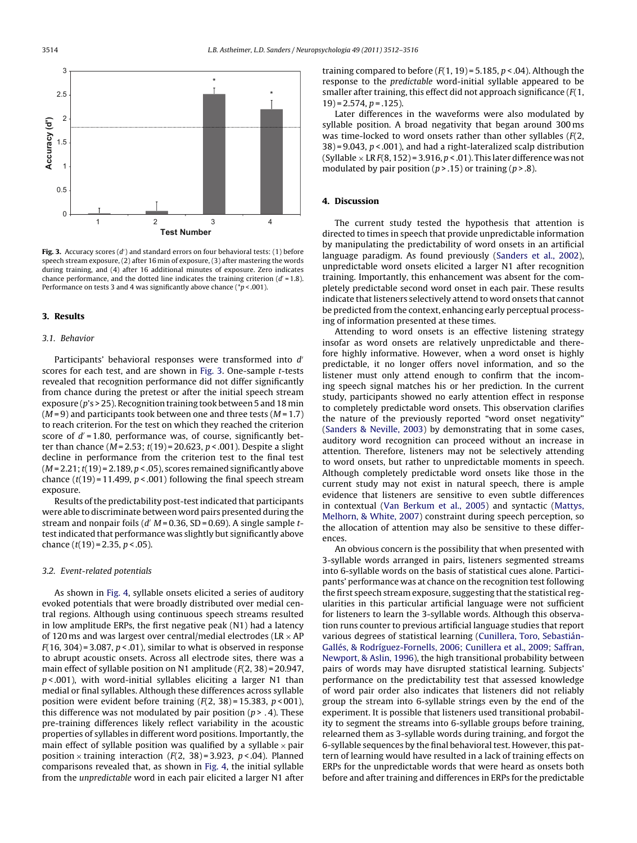

**Fig. 3.** Accuracy scores (d') and standard errors on four behavioral tests: (1) before speech stream exposure, (2) after 16 min of exposure, (3) after mastering the words during training, and (4) after 16 additional minutes of exposure. Zero indicates chance performance, and the dotted line indicates the training criterion  $(d' = 1.8)$ . Performance on tests 3 and 4 was significantly above chance ( $p$  < .001).

#### **3. Results**

#### 3.1. Behavior

Participants' behavioral responses were transformed into d' scores for each test, and are shown in Fig. 3. One-sample t-tests revealed that recognition performance did not differ significantly from chance during the pretest or after the initial speech stream exposure ( $p$ 's > 25). Recognition training took between 5 and 18 min  $(M=9)$  and participants took between one and three tests  $(M=1.7)$ to reach criterion. For the test on which they reached the criterion score of  $d' = 1.80$ , performance was, of course, significantly better than chance ( $M = 2.53$ ;  $t(19) = 20.623$ ,  $p < .001$ ). Despite a slight decline in performance from the criterion test to the final test  $(M = 2.21; t(19) = 2.189, p < .05)$ , scores remained significantly above chance  $(t(19) = 11.499, p < .001)$  following the final speech stream exposure.

Results of the predictability post-test indicated that participants were able to discriminate between word pairs presented during the stream and nonpair foils ( $d'$  M = 0.36, SD = 0.69). A single sample ttest indicated that performance was slightly but significantly above chance  $(t(19) = 2.35, p < .05)$ .

## 3.2. Event-related potentials

As shown in [Fig. 4,](#page-3-0) syllable onsets elicited a series of auditory evoked potentials that were broadly distributed over medial central regions. Although using continuous speech streams resulted in low amplitude ERPs, the first negative peak (N1) had a latency of 120 ms and was largest over central/medial electrodes (LR  $\times$  AP  $F(16, 304) = 3.087, p < .01$ , similar to what is observed in response to abrupt acoustic onsets. Across all electrode sites, there was a main effect of syllable position on N1 amplitude  $(F(2, 38) = 20.947)$ ,  $p$  < 001), with word-initial syllables eliciting a larger N1 than medial or final syllables. Although these differences across syllable position were evident before training  $(F(2, 38) = 15.383, p < 001)$ , this difference was not modulated by pair position ( $p > .4$ ). These pre-training differences likely reflect variability in the acoustic properties of syllables in different word positions. Importantly, the main effect of syllable position was qualified by a syllable  $\times$  pair position  $\times$  training interaction (*F*(2, 38) = 3.923, *p* < 04). Planned comparisons revealed that, as shown in [Fig. 4,](#page-3-0) the initial syllable from the unpredictable word in each pair elicited a larger N1 after training compared to before  $(F(1, 19) = 5.185, p < .04)$ . Although the response to the predictable word-initial syllable appeared to be smaller after training, this effect did not approach significance  $(F(1,$  $19$ ) = 2.574,  $p = .125$ ).

Later differences in the waveforms were also modulated by syllable position. A broad negativity that began around 300 ms was time-locked to word onsets rather than other syllables  $(F(2,$  $38$ ) = 9.043,  $p < .001$ ), and had a right-lateralized scalp distribution (Syllable  $\times$  LR  $F(8, 152) = 3.916$ ,  $p < .01$ ). This later difference was not modulated by pair position ( $p > 0.15$ ) or training ( $p > 0.8$ ).

# **4. Discussion**

The current study tested the hypothesis that attention is directed to times in speech that provide unpredictable information by manipulating the predictability of word onsets in an artificial language paradigm. As found previously ([Sanders et al., 2002\),](#page-4-0) unpredictable word onsets elicited a larger N1 after recognition training. Importantly, this enhancement was absent for the completely predictable second word onset in each pair. These results indicate that listeners selectively attend to word onsets that cannot be predicted from the context, enhancing early perceptual processing of information presented at these times.

Attending to word onsets is an effective listening strategy insofar as word onsets are relatively unpredictable and therefore highly informative. However, when a word onset is highly predictable, it no longer offers novel information, and so the listener must only attend enough to confirm that the incoming speech signal matches his or her prediction. In the current study, participants showed no early attention effect in response to completely predictable word onsets. This observation clarifies the nature of the previously reported "word onset negativity" [\(Sanders & Neville, 2003\)](#page-4-0) by demonstrating that in some cases, auditory word recognition can proceed without an increase in attention. Therefore, listeners may not be selectively attending to word onsets, but rather to unpredictable moments in speech. Although completely predictable word onsets like those in the current study may not exist in natural speech, there is ample evidence that listeners are sensitive to even subtle differences in contextual [\(Van Berkum et al., 2005\)](#page-4-0) and syntactic ([Mattys,](#page-4-0) [Melhorn, & White, 2007\)](#page-4-0) constraint during speech perception, so the allocation of attention may also be sensitive to these differences.

An obvious concern is the possibility that when presented with 3-syllable words arranged in pairs, listeners segmented streams into 6-syllable words on the basis of statistical cues alone. Participants' performance was at chance on the recognition test following the first speech stream exposure, suggesting that the statistical regularities in this particular artificial language were not sufficient for listeners to learn the 3-syllable words. Although this observation runs counter to previous artificial language studies that report various degrees of statistical learning ([Cunillera, Toro, Sebastián-](#page-4-0)Gallés, [& Rodríguez-Fornells, 2006; Cunillera et al., 2009; Saffran,](#page-4-0) [Newport, & Aslin, 1996\),](#page-4-0) the high transitional probability between pairs of words may have disrupted statistical learning. Subjects' performance on the predictability test that assessed knowledge of word pair order also indicates that listeners did not reliably group the stream into 6-syllable strings even by the end of the experiment. It is possible that listeners used transitional probability to segment the streams into 6-syllable groups before training, relearned them as 3-syllable words during training, and forgot the 6-syllable sequences by the final behavioral test. However, this pattern of learning would have resulted in a lack of training effects on ERPs for the unpredictable words that were heard as onsets both before and after training and differences in ERPs for the predictable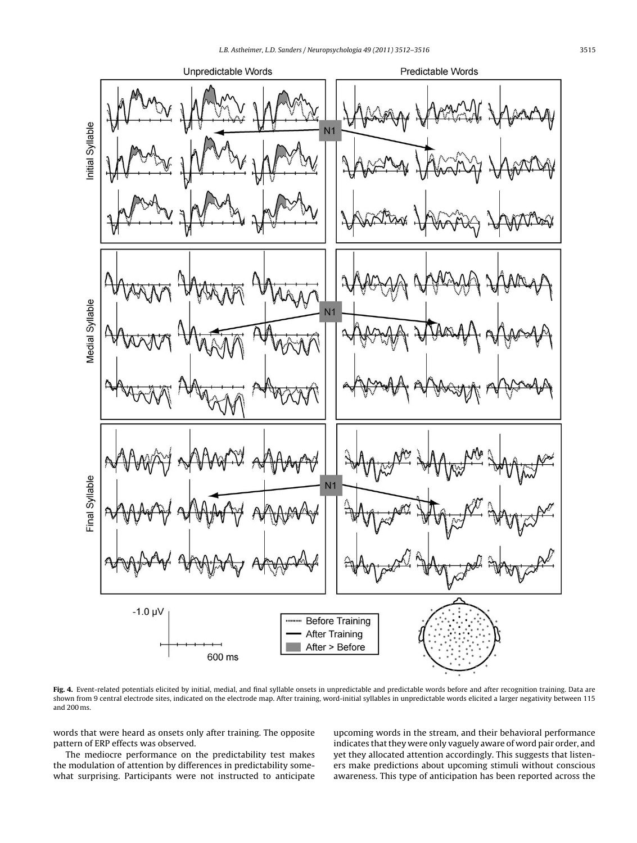<span id="page-3-0"></span>

Fig. 4. Event-related potentials elicited by initial, medial, and final syllable onsets in unpredictable and predictable words before and after recognition training. Data are shown from 9 central electrode sites, indicated on the electrode map. After training, word-initial syllables in unpredictable words elicited a larger negativity between 115 and 200 ms.

words that were heard as onsets only after training. The opposite pattern of ERP effects was observed.

The mediocre performance on the predictability test makes the modulation of attention by differences in predictability somewhat surprising. Participants were not instructed to anticipate upcoming words in the stream, and their behavioral performance indicates that they were only vaguely aware of word pair order, and yet they allocated attention accordingly. This suggests that listeners make predictions about upcoming stimuli without conscious awareness. This type of anticipation has been reported across the